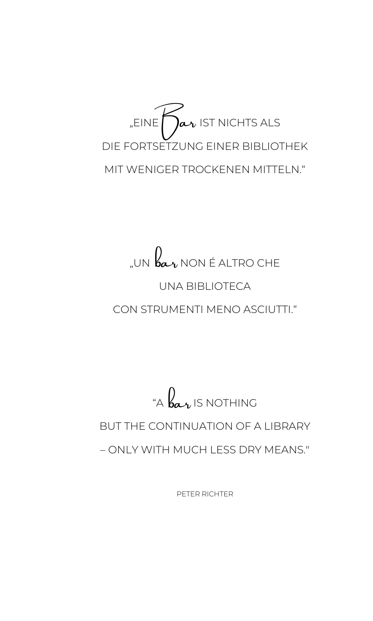

# "un  $\mathcal{b}$ a- $_\nu$  non é altro che UNA BIBLIOTECA

## CON STRUMENTI MENO ASCIUTTI."

# "A  $\mathcal{b} \alpha$ r Is nothing BUT THE CONTINUATION OF A LIBRARY – ONLY WITH MUCH LESS DRY MEANS."

PETER RICHTER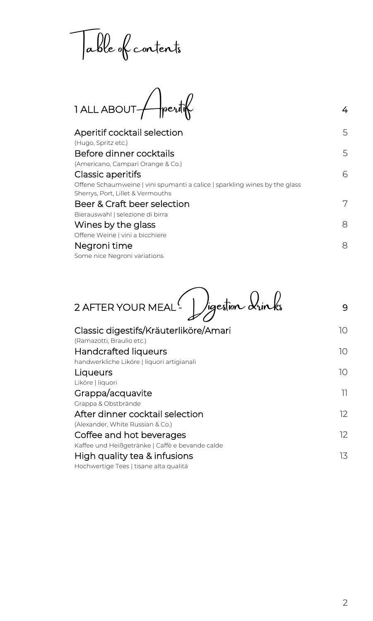Table of contents

 $1$  ALL ABOUT  $\bigcap$  peritiff

| Aperitif cocktail selection                                                | 5 |
|----------------------------------------------------------------------------|---|
| (Hugo, Spritz etc.)                                                        |   |
| Before dinner cocktails                                                    | 5 |
| (Americano, Campari Orange & Co.)                                          |   |
| Classic aperitifs                                                          | 6 |
| Offene Schaumweine   vini spumanti a calice   sparkling wines by the glass |   |
| Sherrys, Port, Lillet & Vermouths                                          |   |
| Beer & Craft beer selection                                                | 7 |
| Bierauswahl   selezione di birra                                           |   |
| Wines by the glass                                                         | 8 |
| Offene Weine   vini a bicchiere                                            |   |
| Negroni time                                                               | 8 |
| Some nice Negroni variations                                               |   |
|                                                                            |   |

2 AFTER YOUR MEAL 2 Jigestion drinks 9

| Classic digestifs/Kräuterliköre/Amari<br>(Ramazotti, Braulio etc.) | 10 |
|--------------------------------------------------------------------|----|
| <b>Handcrafted liqueurs</b>                                        | 10 |
| handwerkliche Liköre   liquori artigianali                         |    |
| Liqueurs                                                           | 10 |
| Liköre   liquori                                                   |    |
| Grappa/acquavite                                                   | וו |
| Grappa & Obstbrände                                                |    |
| After dinner cocktail selection                                    | 12 |
| (Alexander, White Russian & Co.)                                   |    |
| Coffee and hot beverages                                           | 12 |
| Kaffee und Heißgetränke   Caffè e bevande calde                    |    |
| High quality tea & infusions                                       | 13 |
| Hochwertige Tees   tisane alta qualitá                             |    |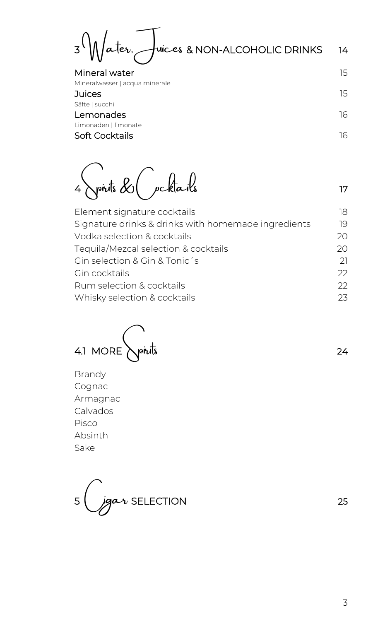$3\sqrt{M}$ ater, Juices & NON-ALCOHOLIC DRINKS 14

Mineral water 15 Mineralwasser | acqua minerale

**Juices** 15 Säfte | succhi Lemonades and the contract of the contract of the contract of the contract of the contract of the contract of the contract of the contract of the contract of the contract of the contract of the contract of the contract of Limonaden | limonate Soft Cocktails 16

 $4\pi i\pi i\sin\theta\cos\theta$  ocktails 17

| Element signature cocktails                         | 18 |
|-----------------------------------------------------|----|
| Signature drinks & drinks with homemade ingredients | 19 |
| Vodka selection & cocktails                         | 20 |
| Tequila/Mezcal selection & cocktails                | 20 |
| Gin selection & Gin & Tonic's                       | 21 |
| Gin cocktails                                       | 22 |
| Rum selection & cocktails                           | フフ |
| Whisky selection & cocktails                        | 23 |
|                                                     |    |



Brandy Cognac Armagnac Calvados Pisco Absinth Sake

5 (*jgar* SELECTION 25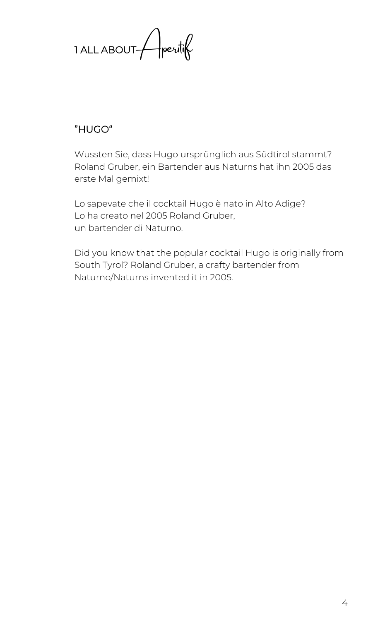1 ALL ABOUT / peritif

### "HUGO"

Wussten Sie, dass Hugo ursprünglich aus Südtirol stammt? Roland Gruber, ein Bartender aus Naturns hat ihn 2005 das erste Mal gemixt!

Lo sapevate che il cocktail Hugo è nato in Alto Adige? Lo ha creato nel 2005 Roland Gruber, un bartender di Naturno.

Did you know that the popular cocktail Hugo is originally from South Tyrol? Roland Gruber, a crafty bartender from Naturno/Naturns invented it in 2005.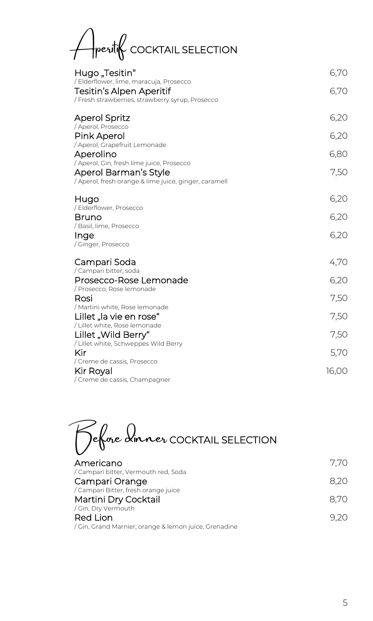Aperitif COCKTAIL SELECTION

| Hugo "Tesitin"<br>/ Elderflower, lime, maracuja, Prosecco<br><b>Tesitin's Alpen Aperitif</b><br>Fresh strawberries, strawberry syrup, Prosecco / | 6,70<br>6,70 |
|--------------------------------------------------------------------------------------------------------------------------------------------------|--------------|
| <b>Aperol Spritz</b>                                                                                                                             | 6,20         |
| / Aperol, Prosecco<br>Pink Aperol                                                                                                                | 6,20         |
| Aperol, Grapefruit Lemonade<br>Aperolino                                                                                                         | 6,80         |
| / Aperol, Gin, fresh lime juice, Prosecco<br>Aperol Barman's Style<br>/ Aperol, fresh orange & lime juice, ginger, caramell                      | 7,50         |
| Hugo                                                                                                                                             | 6,20         |
| / Elderflower, Prosecco<br>Bruno                                                                                                                 | 6,20         |
| / Basil, lime, Prosecco                                                                                                                          |              |
| Inge<br>/ Ginger, Prosecco                                                                                                                       | 6,20         |
| Campari Soda                                                                                                                                     | 4,70         |
| / Campari bitter, soda<br>Prosecco-Rose Lemonade                                                                                                 | 6,20         |
| / Prosecco, Rose lemonade<br>Rosi                                                                                                                | 7,50         |
| / Martini white, Rose lemonade                                                                                                                   |              |
| Lillet "la vie en rose"                                                                                                                          | 7,50         |
| Lillet white, Rose lemonade /<br>Lillet "Wild Berry"                                                                                             | 7,50         |
| / Lillet white, Schweppes Wild Berry                                                                                                             |              |
| Kir                                                                                                                                              | 5,70         |
| / Creme de cassis, Prosecco                                                                                                                      |              |
| Kir Royal<br>/ Creme de cassis, Champagner                                                                                                       | 16,00        |
|                                                                                                                                                  |              |

Before dinner COCKTAIL SELECTION

| Americano                                           | 7.70 |
|-----------------------------------------------------|------|
| / Campari bitter, Vermouth red, Soda                |      |
| Campari Orange                                      | 8.20 |
| / Campari Bitter, fresh orange juice                |      |
| Martini Dry Cocktail                                | 8.70 |
| / Gin, Dry Vermouth                                 |      |
| <b>Red Lion</b>                                     | 920  |
| Gin, Grand Marnier, orange & lemon juice, Grenadine |      |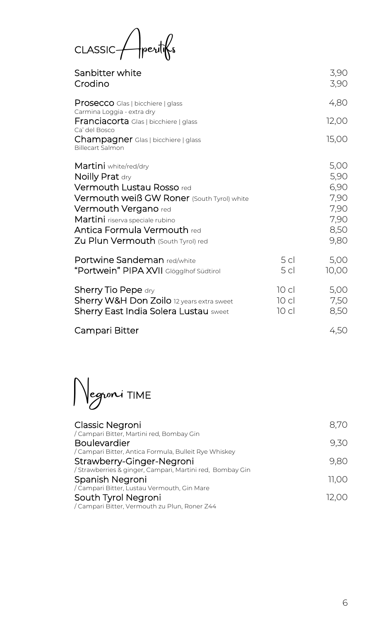CLASSIC Aperitifs

| Sanbitter white<br>Crodino                                                                                                                                                                                                                                                      |                                    | 3,90<br>3,90                                                 |
|---------------------------------------------------------------------------------------------------------------------------------------------------------------------------------------------------------------------------------------------------------------------------------|------------------------------------|--------------------------------------------------------------|
| <b>Prosecco</b> Glas   bicchiere   glass<br>Carmina Loggia - extra dry<br><b>Franciacorta</b> Glas   bicchiere   glass                                                                                                                                                          |                                    | 4,80<br>12,00                                                |
| Ca' del Bosco<br>Champagner Glas   bicchiere   glass<br><b>Billecart Salmon</b>                                                                                                                                                                                                 |                                    | 15,00                                                        |
| Martini white/red/dry<br>Noilly Prat dry<br><b>Vermouth Lustau Rosso red</b><br><b>Vermouth weiß GW Roner</b> (South Tyrol) white<br><b>Vermouth Vergano red</b><br>Martini riserva speciale rubino<br><b>Antica Formula Vermouth red</b><br>Zu Plun Vermouth (South Tyrol) red |                                    | 5,00<br>5,90<br>6,90<br>7,90<br>7,90<br>7,90<br>8,50<br>9,80 |
| <b>Portwine Sandeman red/white</b><br>"Portwein" PIPA XVII Glögglhof Südtirol                                                                                                                                                                                                   | 5 <sub>cl</sub><br>5 <sub>cl</sub> | 5,00<br>10,00                                                |
| <b>Sherry Tio Pepe dry</b><br>Sherry W&H Don Zoilo 12 years extra sweet<br><b>Sherry East India Solera Lustau sweet</b>                                                                                                                                                         | 10 <sub>cl</sub><br>10 cl<br>10 cl | 5,00<br>7,50<br>8,50                                         |
| Campari Bitter                                                                                                                                                                                                                                                                  |                                    | 4,50                                                         |

Negroni TIME

| 8.70  |
|-------|
|       |
| 9.30  |
|       |
| 9.80  |
|       |
| 11.00 |
|       |
| 12.00 |
|       |
|       |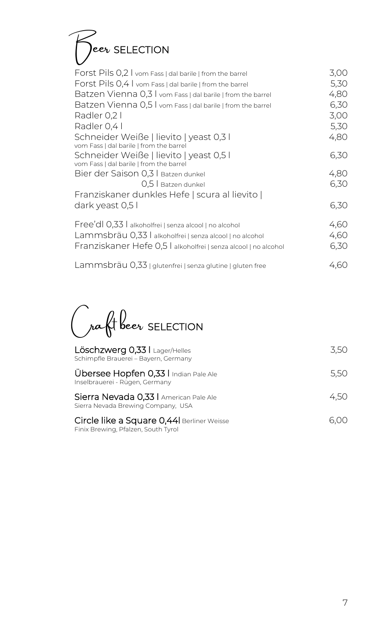# $\bigcap^{\infty}$ eer SELECTION

| Forst Pils 0,2 I vom Fass   dal barile   from the barrel                           | 3,00 |
|------------------------------------------------------------------------------------|------|
| Forst Pils 0,4 I vom Fass   dal barile   from the barrel                           | 5,30 |
| Batzen Vienna 0,3 I vom Fass   dal barile   from the barrel                        | 4,80 |
| Batzen Vienna 0,5 I vom Fass   dal barile   from the barrel                        | 6,30 |
| Radler 0,2 l                                                                       | 3,00 |
| Radler 0.4                                                                         | 5,30 |
| Schneider Weiße   lievito   yeast 0,3 l<br>vom Fass   dal barile   from the barrel | 4,80 |
| Schneider Weiße   lievito   yeast 0,5 l                                            | 6,30 |
| vom Fass   dal barile   from the barrel<br>Bier der Saison 0,3   Batzen dunkel     | 4,80 |
| 0,5 Batzen dunkel                                                                  | 6,30 |
| Franziskaner dunkles Hefe   scura al lievito                                       |      |
| dark yeast 0,5 l                                                                   | 6,30 |
| Free'dl 0,33   alkoholfrei   senza alcool   no alcohol                             | 4,60 |
| Lammsbräu 0,33   alkoholfrei   senza alcool   no alcohol                           | 4,60 |
| Franziskaner Hefe 0,5   alkoholfrei   senza alcool   no alcohol                    | 6,30 |
| Lammsbräu 0,33   glutenfrei   senza glutine   gluten free                          | 4.60 |

Craft beer SELECTION

| Löschzwerg 0,33   Lager/Helles<br>Schimpfle Brauerei - Bayern, Germany           | 3.50 |
|----------------------------------------------------------------------------------|------|
| Übersee Hopfen 0,33   Indian Pale Ale<br>Inselbrauerei - Rügen, Germany          | 5.50 |
| Sierra Nevada 0,33   American Pale Ale<br>Sierra Nevada Brewing Company, USA     | 4.50 |
| Circle like a Square 0,44 Berliner Weisse<br>Finix Brewing, Pfalzen, South Tyrol |      |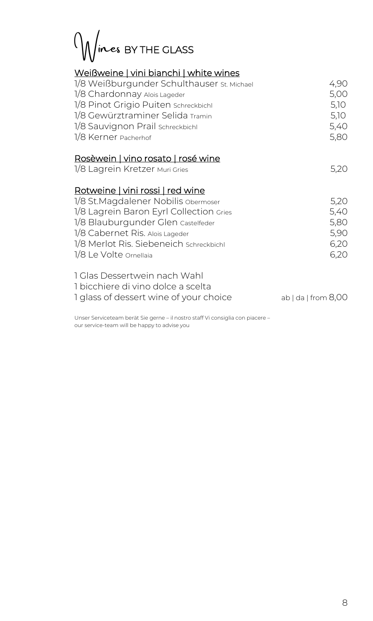Wines BY THE GLASS

#### Weißweine | vini bianchi | white wines

| 1/8 Weißburgunder Schulthauser st. Michael<br>1/8 Chardonnay Alois Lageder<br>1/8 Pinot Grigio Puiten schreckbichl<br>1/8 Gewürztraminer Selida Tramin                                                                                                            | 4,90<br>5,00<br>5,10<br>5,10                 |
|-------------------------------------------------------------------------------------------------------------------------------------------------------------------------------------------------------------------------------------------------------------------|----------------------------------------------|
| 1/8 Sauvignon Prail schreckbichl<br>1/8 Kerner Pacherhof                                                                                                                                                                                                          | 5,40<br>5,80                                 |
| <u>Rosèwein   vino rosato   rosé wine</u><br>1/8 Lagrein Kretzer Muri Gries                                                                                                                                                                                       | 5,20                                         |
| Rotweine   vini rossi   red wine<br>1/8 St. Magdalener Nobilis obermoser<br>1/8 Lagrein Baron Eyrl Collection Gries<br>1/8 Blauburgunder Glen Castelfeder<br>1/8 Cabernet Ris. Alois Lageder<br>1/8 Merlot Ris. Siebeneich schreckbichl<br>1/8 Le Volte Ornellaia | 5,20<br>5,40<br>5,80<br>5,90<br>6,20<br>6,20 |
| 1 Glas Dessertwein nach Wahl<br>1 bicchiere di vino dolce a scelta<br>I glass of dessert wine of your choice                                                                                                                                                      | $ab$   da   from $8,00$                      |

Unser Serviceteam berät Sie gerne – il nostro staff Vi consiglia con piacere – our service-team will be happy to advise you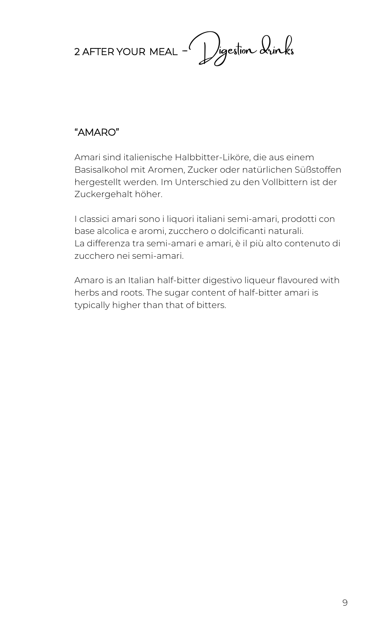

## "AMARO"

Amari sind italienische Halbbitter-Liköre, die aus einem Basisalkohol mit Aromen, Zucker oder natürlichen Süßstoffen hergestellt werden. Im Unterschied zu den Vollbittern ist der Zuckergehalt höher.

I classici amari sono i liquori italiani semi-amari, prodotti con base alcolica e aromi, zucchero o dolcificanti naturali. La differenza tra semi-amari e amari, è il più alto contenuto di zucchero nei semi-amari.

Amaro is an Italian half-bitter digestivo liqueur flavoured with herbs and roots. The sugar content of half-bitter amari is typically higher than that of bitters.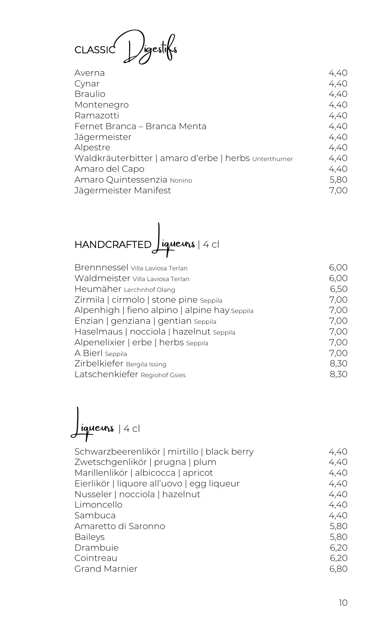CLASSIC Digestifs

| Averna                                                | 4,40 |
|-------------------------------------------------------|------|
| Cynar                                                 | 4,40 |
| <b>Braulio</b>                                        | 4,40 |
| Montenegro                                            | 4,40 |
| Ramazotti                                             | 4,40 |
| Fernet Branca – Branca Menta                          | 4,40 |
| Jägermeister                                          | 4,40 |
| Alpestre                                              | 4,40 |
| Waldkräuterbitter   amaro d'erbe   herbs Unterthurner | 4,40 |
| Amaro del Capo                                        | 4,40 |
| Amaro Quintessenzia Nonino                            | 5,80 |
| Jägermeister Manifest                                 | 7.00 |

HANDCRAFTED **Jiqueurs** | 4 cl

| Brennnessel Villa Laviosa Terlan              | 6,00 |
|-----------------------------------------------|------|
| Waldmeister villa Laviosa Terlan              | 6,00 |
| Heumäher Lerchnhof Olang                      | 6,50 |
| Zirmila   cirmolo   stone pine seppila        | 7,00 |
| Alpenhigh   fieno alpino   alpine hay seppila | 7,00 |
| Enzian   genziana   gentian seppila           | 7,00 |
| Haselmaus   nocciola   hazelnut seppila       | 7,00 |
| Alpenelixier   erbe   herbs seppila           | 7,00 |
| A Bierl Seppila                               | 7,00 |
| Zirbelkiefer Bergila Issing                   | 8,30 |
| Latschenkiefer Regiohof Gsies                 | 8,30 |
|                                               |      |

 $\int$ iqueurs  $|4 c|$ 

| Zwetschgenlikör   prugna   plum<br>Marillenlikör   albicocca   apricot<br>Eierlikör   liquore all'uovo   egg liqueur<br>Nusseler   nocciola   hazelnut<br>Limoncello<br>Sambuca<br>Amaretto di Saronno<br><b>Baileys</b><br>Drambuie<br>Cointreau<br><b>Grand Marnier</b> | Schwarzbeerenlikör   mirtillo   black berry | 4,40 |
|---------------------------------------------------------------------------------------------------------------------------------------------------------------------------------------------------------------------------------------------------------------------------|---------------------------------------------|------|
|                                                                                                                                                                                                                                                                           |                                             | 4,40 |
|                                                                                                                                                                                                                                                                           |                                             | 4,40 |
|                                                                                                                                                                                                                                                                           |                                             | 4,40 |
|                                                                                                                                                                                                                                                                           |                                             | 4,40 |
|                                                                                                                                                                                                                                                                           |                                             | 4,40 |
|                                                                                                                                                                                                                                                                           |                                             | 4,40 |
|                                                                                                                                                                                                                                                                           |                                             | 5,80 |
|                                                                                                                                                                                                                                                                           |                                             | 5,80 |
|                                                                                                                                                                                                                                                                           |                                             | 6,20 |
|                                                                                                                                                                                                                                                                           |                                             | 6,20 |
|                                                                                                                                                                                                                                                                           |                                             | 6,80 |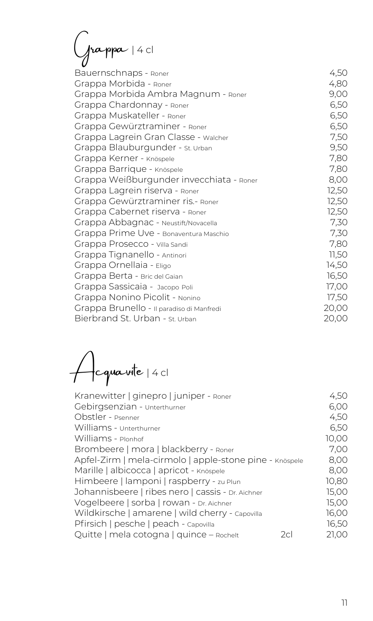Grappa | 4 cl

| Bauernschnaps - Roner                     | 4,50  |
|-------------------------------------------|-------|
| Grappa Morbida - Roner                    | 4,80  |
| Grappa Morbida Ambra Magnum - Roner       | 9,00  |
| Grappa Chardonnay - Roner                 | 6,50  |
| Grappa Muskateller - Roner                | 6,50  |
| Grappa Gewürztraminer - Roner             | 6,50  |
| Grappa Lagrein Gran Classe - Walcher      | 7,50  |
| Grappa Blauburgunder - St. Urban          | 9,50  |
| Grappa Kerner - Knöspele                  | 7,80  |
| Grappa Barrique - Knöspele                | 7,80  |
| Grappa Weißburgunder invecchiata - Roner  | 8,00  |
| Grappa Lagrein riserva - Roner            | 12,50 |
| Grappa Gewürztraminer ris.- Roner         | 12,50 |
| Grappa Cabernet riserva - Roner           | 12,50 |
| Grappa Abbagnac - Neustift/Novacella      | 7,30  |
| Grappa Prime Uve - Bonaventura Maschio    | 7,30  |
| Grappa Prosecco - Villa Sandi             | 7,80  |
| Grappa Tignanello - Antinori              | 11,50 |
| Grappa Ornellaia - Eligo                  | 14,50 |
| Grappa Berta - Bric del Gaian             | 16,50 |
| Grappa Sassicaia - Jacopo Poli            | 17,00 |
| Grappa Nonino Picolit - Nonino            | 17,50 |
| Grappa Brunello - Il paradiso di Manfredi | 20,00 |
| Bierbrand St. Urban - st. Urban           | 20,00 |

Acquavite | 4 cl

| Kranewitter   ginepro   juniper - Roner                 | 4,50  |
|---------------------------------------------------------|-------|
| Gebirgsenzian - Unterthurner                            | 6,00  |
| Obstler - Psenner                                       | 4,50  |
| Williams - Unterthurner                                 | 6,50  |
| Williams - Plonhof                                      | 10,00 |
| Brombeere   mora   blackberry - Roner                   | 7,00  |
| Apfel-Zirm   mela-cirmolo   apple-stone pine - Knöspele | 8,00  |
| Marille   albicocca   apricot - Knöspele                | 8,00  |
| Himbeere   lamponi   raspberry - zu Plun                | 10,80 |
| Johannisbeere   ribes nero   cassis - Dr. Aichner       | 15,00 |
| Vogelbeere   sorba   rowan - Dr. Aichner                | 15,00 |
| Wildkirsche   amarene   wild cherry - Capovilla         | 16,00 |
| Pfirsich   pesche   peach - Capovilla                   | 16,50 |
| Quitte   mela cotogna   quince - Rochelt<br>2cl         | 21.00 |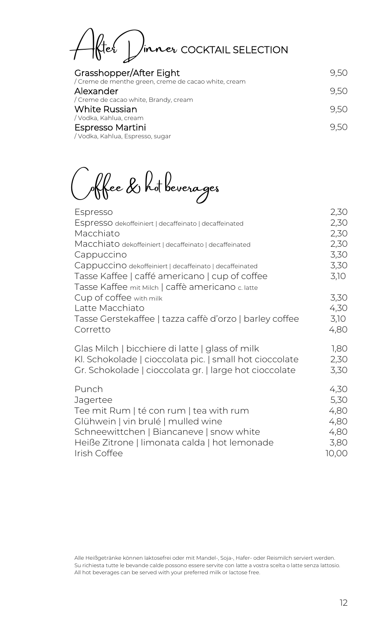After Dinner COCKTAIL SELECTION

| Grasshopper/After Eight                                           | 9.50 |
|-------------------------------------------------------------------|------|
| / Creme de menthe green, creme de cacao white, cream<br>Alexander | 9.50 |
| / Creme de cacao white, Brandy, cream                             |      |
| White Russian                                                     | 9.50 |
| / Vodka, Kahlua, cream                                            |      |
| Espresso Martini                                                  | 9.50 |
| / Vodka, Kahlua, Espresso, sugar                                  |      |

Coffee & hot beverages

| Espresso                                                                                                                                                               | 2,30                         |
|------------------------------------------------------------------------------------------------------------------------------------------------------------------------|------------------------------|
| Espresso dekoffeiniert   decaffeinato   decaffeinated                                                                                                                  | 2,30                         |
| Macchiato                                                                                                                                                              | 2,30                         |
| Macchiato dekoffeiniert   decaffeinato   decaffeinated                                                                                                                 | 2,30                         |
| Cappuccino                                                                                                                                                             | 3,30                         |
| Cappuccino dekoffeiniert   decaffeinato   decaffeinated                                                                                                                | 3,30                         |
| Tasse Kaffee   caffé americano   cup of coffee                                                                                                                         | 3,10                         |
| Tasse Kaffee mit Milch   caffè americano c. latte<br>Cup of coffee with milk<br>Latte Macchiato<br>Tasse Gerstekaffee   tazza caffè d'orzo   barley coffee<br>Corretto | 3,30<br>4,30<br>3,10<br>4,80 |
| Glas Milch   bicchiere di latte   glass of milk                                                                                                                        | 1,80                         |
| Kl. Schokolade   cioccolata pic.   small hot cioccolate                                                                                                                | 2,30                         |
| Gr. Schokolade   cioccolata gr.   large hot cioccolate                                                                                                                 | 3,30                         |
| Punch                                                                                                                                                                  | 4,30                         |
| Jagertee                                                                                                                                                               | 5,30                         |
| Tee mit Rum   té con rum   tea with rum                                                                                                                                | 4,80                         |
| Glühwein   vin brulé   mulled wine                                                                                                                                     | 4,80                         |
| Schneewittchen   Biancaneve   snow white                                                                                                                               | 4,80                         |
| Heiße Zitrone   limonata calda   hot lemonade                                                                                                                          | 3,80                         |
| Irish Coffee                                                                                                                                                           | 10,00                        |

Alle Heißgetränke können laktosefrei oder mit Mandel-, Soja-, Hafer- oder Reismilch serviert werden. Su richiesta tutte le bevande calde possono essere servite con latte a vostra scelta o latte senza lattosio. All hot beverages can be served with your preferred milk or lactose free.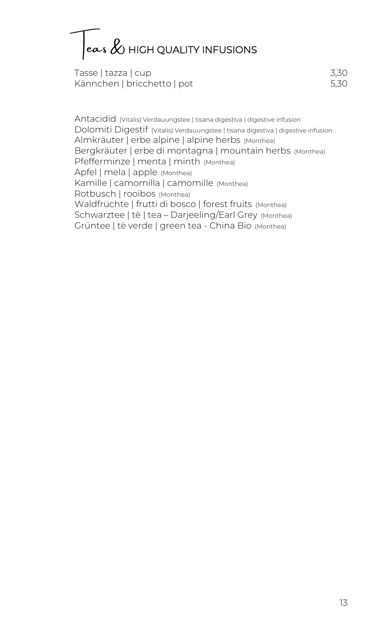$\vert$ eas  $\&$  HIGH QUALITY INFUSIONS

Tasse | tazza | cup 3,30 Kännchen | bricchetto | pot 5,30

Antacidid (Vitalis) Verdauungstee | tisana digestiva | digestive infusion Dolomiti Digestif (Vitalis) Verdauungstee | tisana digestiva | digestive infusion Almkräuter | erbe alpine | alpine herbs (Monthea) Bergkräuter | erbe di montagna | mountain herbs (Monthea) Pfefferminze | menta | minth (Monthea) Apfel | mela | apple (Monthea) Kamille | camomilla | camomille (Monthea) Rotbusch | rooibos (Monthea) Waldfrüchte | frutti di bosco | forest fruits (Monthea) Schwarztee | tè | tea – Darjeeling/Earl Grey (Monthea) Grüntee | tè verde | green tea - China Bio (Monthea)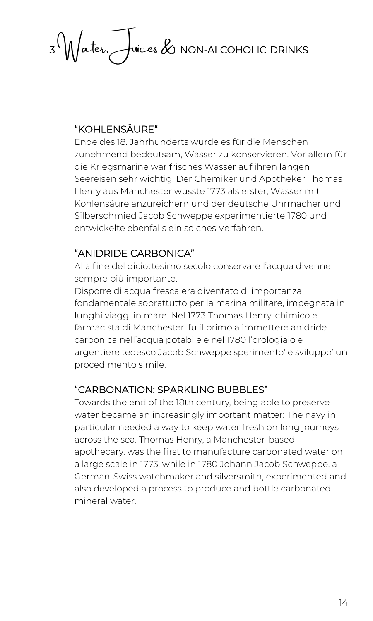3 Water, Juices & NON-ALCOHOLIC DRINKS

#### "KOHLENSÄURE"

Ende des 18. Jahrhunderts wurde es für die Menschen zunehmend bedeutsam, Wasser zu konservieren. Vor allem für die Kriegsmarine war frisches Wasser auf ihren langen Seereisen sehr wichtig. Der Chemiker und Apotheker Thomas Henry aus Manchester wusste 1773 als erster, Wasser mit Kohlensäure anzureichern und der deutsche Uhrmacher und Silberschmied Jacob Schweppe experimentierte 1780 und entwickelte ebenfalls ein solches Verfahren.

#### "ANIDRIDE CARBONICA"

Alla fine del diciottesimo secolo conservare l'acqua divenne sempre più importante.

Disporre di acqua fresca era diventato di importanza fondamentale soprattutto per la marina militare, impegnata in lunghi viaggi in mare. Nel 1773 Thomas Henry, chimico e farmacista di Manchester, fu il primo a immettere anidride carbonica nell'acqua potabile e nel 1780 l'orologiaio e argentiere tedesco Jacob Schweppe sperimento' e sviluppo' un procedimento simile.

#### "CARBONATION: SPARKLING BUBBLES"

Towards the end of the 18th century, being able to preserve water became an increasingly important matter: The navy in particular needed a way to keep water fresh on long journeys across the sea. Thomas Henry, a Manchester-based apothecary, was the first to manufacture carbonated water on a large scale in 1773, while in 1780 Johann Jacob Schweppe, a German-Swiss watchmaker and silversmith, experimented and also developed a process to produce and bottle carbonated mineral water.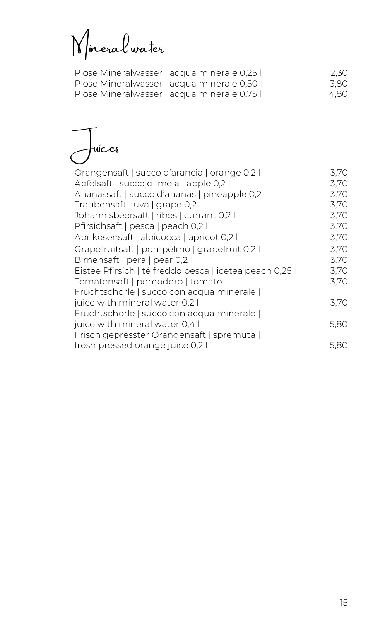Mineral water

| Plose Mineralwasser   acqua minerale 0,25 | 2,30 |
|-------------------------------------------|------|
| Plose Mineralwasser   acqua minerale 0,50 | 3.80 |
| Plose Mineralwasser   acqua minerale 0,75 | 4.80 |

Juices

| Orangensaft   succo d'arancia   orange 0,2 l<br>Apfelsaft   succo di mela   apple 0,2 l | 3,70<br>3,70 |
|-----------------------------------------------------------------------------------------|--------------|
| Ananassaft   succo d'ananas   pineapple 0,2 l                                           | 3,70         |
|                                                                                         | 3,70         |
| Traubensaft   uva   grape 0,2 l                                                         |              |
| Johannisbeersaft   ribes   currant 0,2 l                                                | 3,70         |
| Pfirsichsaft   pesca   peach 0,2 l                                                      | 3,70         |
| Aprikosensaft   albicocca   apricot 0,2 l                                               | 3,70         |
| Grapefruitsaft   pompelmo   grapefruit 0,2 l                                            | 3,70         |
| Birnensaft   pera   pear 0,2 l                                                          | 3,70         |
| Eistee Pfirsich   té freddo pesca   icetea peach 0,25 l                                 | 3,70         |
| Tomatensaft   pomodoro   tomato                                                         | 3,70         |
| Fruchtschorle   succo con acqua minerale                                                |              |
| juice with mineral water 0,2 l                                                          | 3,70         |
| Fruchtschorle   succo con acqua minerale                                                |              |
| juice with mineral water 0,4 l                                                          | 5,80         |
| Frisch gepresster Orangensaft   spremuta                                                |              |
| fresh pressed orange juice 0,2 l                                                        | 5.80         |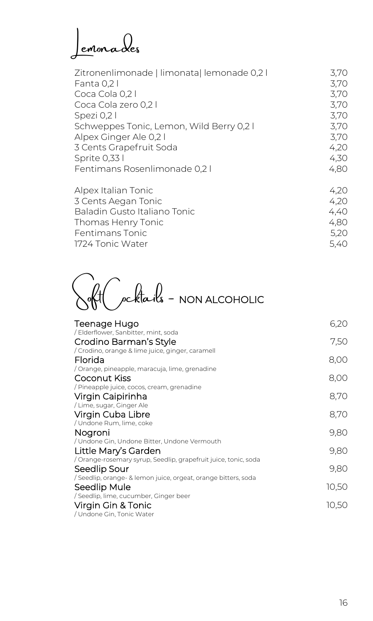Lemonades

| Zitronenlimonade   limonata  lemonade 0,2 l | 3,70 |
|---------------------------------------------|------|
| Fanta 0,2 l                                 | 3.70 |
| Coca Cola 0,2 l                             | 3,70 |
| Coca Cola zero 0,2 l                        | 3,70 |
| Spezi 0,21                                  | 3,70 |
| Schweppes Tonic, Lemon, Wild Berry 0,21     | 3,70 |
| Alpex Ginger Ale 0,2 l                      | 3,70 |
| 3 Cents Grapefruit Soda                     | 4,20 |
| Sprite 0,33 l                               | 4,30 |
| Fentimans Rosenlimonade 0,21                | 4,80 |
| Alpex Italian Tonic                         |      |

| Alpex Italian Torlic         | 4.ZV |
|------------------------------|------|
| 3 Cents Aegan Tonic          | 4.20 |
| Baladin Gusto Italiano Tonic | 4.40 |
| Thomas Henry Tonic           | 4.80 |
| Fentimans Tonic              | 5.20 |
| 1724 Tonic Water             | 5.40 |
|                              |      |

Soft Cocktails - NON ALCOHOLIC

| Teenage Hugo                                                    | 6,20  |
|-----------------------------------------------------------------|-------|
| / Elderflower, Sanbitter, mint, soda                            |       |
| Crodino Barman's Style                                          | 7,50  |
| / Crodino, orange & lime juice, ginger, caramell                |       |
| Florida                                                         | 8,00  |
| / Orange, pineapple, maracuja, lime, grenadine                  |       |
| Coconut Kiss                                                    | 8,00  |
| / Pineapple juice, cocos, cream, grenadine                      |       |
| Virgin Caipirinha                                               | 8,70  |
| Lime, sugar, Ginger Ale                                         |       |
| Virgin Cuba Libre                                               | 8,70  |
| / Undone Rum, lime, coke                                        |       |
| Nogroni                                                         | 9,80  |
| / Undone Gin, Undone Bitter, Undone Vermouth                    |       |
| Little Mary's Garden                                            | 9,80  |
| / Orange-rosemary syrup, Seedlip, grapefruit juice, tonic, soda |       |
| Seedlip Sour                                                    | 9,80  |
| / Seedlip, orange- & lemon juice, orgeat, orange bitters, soda  |       |
| Seedlip Mule                                                    | 10,50 |
| / Seedlip, lime, cucumber, Ginger beer                          |       |
| Virgin Gin & Tonic                                              | 10,50 |
| / Undone Gin, Tonic Water                                       |       |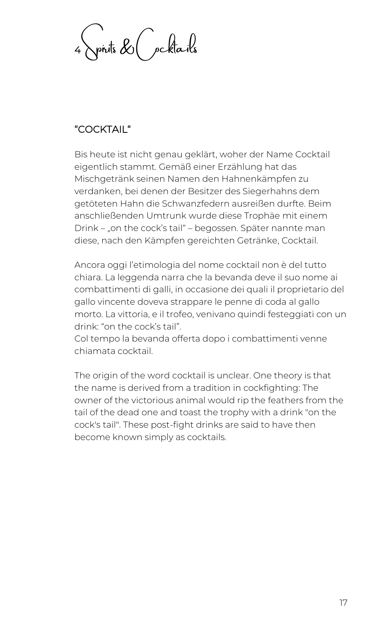$\sqrt{p}$ rits  $\&$  (  $p$ cktails

### "COCKTAIL"

Bis heute ist nicht genau geklärt, woher der Name Cocktail eigentlich stammt. Gemäß einer Erzählung hat das Mischgetränk seinen Namen den Hahnenkämpfen zu verdanken, bei denen der Besitzer des Siegerhahns dem getöteten Hahn die Schwanzfedern ausreißen durfte. Beim anschließenden Umtrunk wurde diese Trophäe mit einem Drink – "on the cock's tail" – begossen. Später nannte man diese, nach den Kämpfen gereichten Getränke, Cocktail.

Ancora oggi l'etimologia del nome cocktail non è del tutto chiara. La leggenda narra che la bevanda deve il suo nome ai combattimenti di galli, in occasione dei quali il proprietario del gallo vincente doveva strappare le penne di coda al gallo morto. La vittoria, e il trofeo, venivano quindi festeggiati con un drink: "on the cock's tail".

Col tempo la bevanda offerta dopo i combattimenti venne chiamata cocktail.

The origin of the word cocktail is unclear. One theory is that the name is derived from a tradition in cockfighting: The owner of the victorious animal would rip the feathers from the tail of the dead one and toast the trophy with a drink "on the cock's tail". These post-fight drinks are said to have then become known simply as cocktails.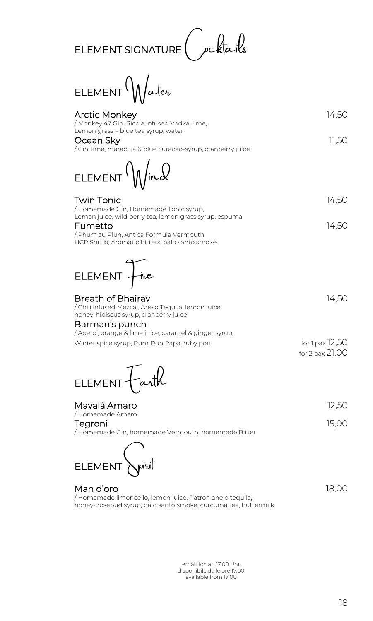

 $E$ LEMENT $\mathcal{N}$ ater

| <b>Arctic Monkey</b><br>/ Monkey 47 Gin, Ricola infused Vodka, lime,                                                                                           | 14,50                              |
|----------------------------------------------------------------------------------------------------------------------------------------------------------------|------------------------------------|
| Lemon grass - blue tea syrup, water<br>Ocean Sky<br>/ Gin, lime, maracuja & blue curacao-syrup, cranberry juice                                                | 11,50                              |
| ELEMENT $\mathcal{N}/\mathcal{N}$                                                                                                                              |                                    |
| <b>Twin Tonic</b><br>/ Homemade Gin, Homemade Tonic syrup,                                                                                                     | 14,50                              |
| Lemon juice, wild berry tea, lemon grass syrup, espuma<br>Fumetto<br>/ Rhum zu Plun, Antica Formula Vermouth,<br>HCR Shrub, Aromatic bitters, palo santo smoke | 14,50                              |
|                                                                                                                                                                |                                    |
| ELEMENT Fire                                                                                                                                                   |                                    |
| <b>Breath of Bhairav</b><br>/ Chili infused Mezcal, Anejo Tequila, lemon juice,<br>honey-hibiscus syrup, cranberry juice<br>Barman's punch                     | 14,50                              |
| / Aperol, orange & lime juice, caramel & ginger syrup,<br>Winter spice syrup, Rum Don Papa, ruby port                                                          | for 1 pax 12,50<br>for 2 pax 21,00 |
| ELEMENT Farth                                                                                                                                                  |                                    |
| Mavalá Amaro                                                                                                                                                   | 12,50                              |
| / Homemade Amaro<br>Tegroni<br>/ Homemade Gin, homemade Vermouth, homemade Bitter                                                                              | 15,00                              |
| ELEMENT <b>Apiut</b>                                                                                                                                           |                                    |

#### Man d'oro 18,000 de la contrata de la contrata de la contrata de la contrata de la contrata de la contrata de / Homemade limoncello, lemon juice, Patron anejo tequila, honey- rosebud syrup, palo santo smoke, curcuma tea, buttermilk

erhältlich ab 17.00 Uhr disponibile dalle ore 17.00 available from 17.00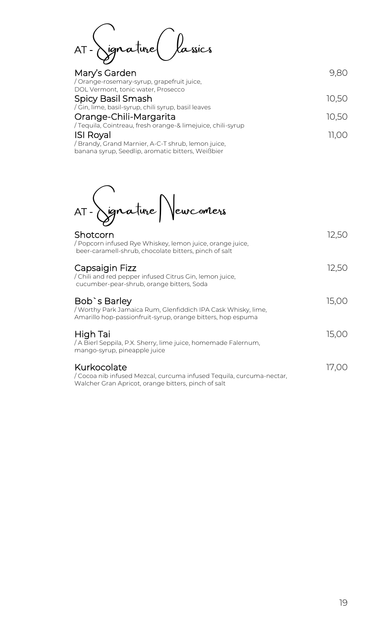AT -Signature Classics

| Mary's Garden                                                                    | 9.80  |
|----------------------------------------------------------------------------------|-------|
| / Orange-rosemary-syrup, grapefruit juice,<br>DOL Vermont, tonic water, Prosecco |       |
| Spicy Basil Smash                                                                | 10.50 |
| / Gin, lime, basil-syrup, chili syrup, basil leaves                              |       |
| Orange-Chili-Margarita                                                           | 10.50 |
| Tequila, Cointreau, fresh orange-& limejuice, chili-syrup                        |       |
| <b>ISI Royal</b>                                                                 | 11.00 |
| / Brandy, Grand Marnier, A-C-T shrub, lemon juice,                               |       |
| banana syrup, Seedlip, aromatic bitters, Weißbier                                |       |

AT -Signature Newcomers

| Shotcorn<br>/ Popcorn infused Rye Whiskey, lemon juice, orange juice,<br>beer-caramell-shrub, chocolate bitters, pinch of salt               | 12.50 |
|----------------------------------------------------------------------------------------------------------------------------------------------|-------|
| Capsaigin Fizz<br>/ Chili and red pepper infused Citrus Gin, lemon juice,<br>cucumber-pear-shrub, orange bitters, Soda                       | 12,50 |
| Bob's Barley<br>/ Worthy Park Jamaica Rum, Glenfiddich IPA Cask Whisky, lime,<br>Amarillo hop-passionfruit-syrup, orange bitters, hop espuma | 15,00 |
| High Tai<br>/ A Bierl Seppila, P.X. Sherry, lime juice, homemade Falernum,<br>mango-syrup, pineapple juice                                   | 15,00 |
| Kurkocolate<br>/ Cocoa nib infused Mezcal, curcuma infused Tequila, curcuma-nectar,<br>Walcher Gran Apricot, orange bitters, pinch of salt   | 17.00 |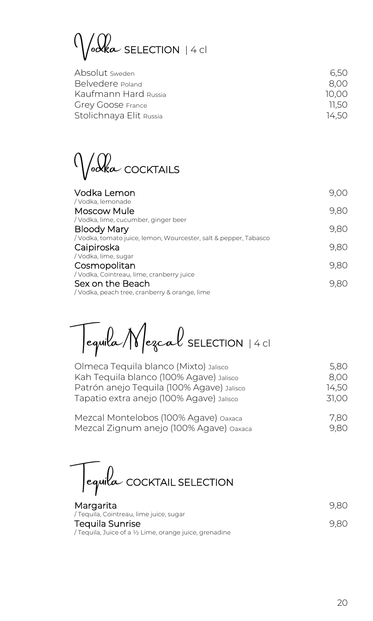$\mathcal{O}(1)$   $\mathcal{O}(1)$  SELECTION | 4 cl

| Absolut sweden           | 6.50  |
|--------------------------|-------|
| Belvedere Poland         | 8.00  |
| Kaufmann Hard Russia     | 10.00 |
| <b>Grey Goose France</b> | 11.50 |
| Stolichnaya Elit Russia  | 14.50 |

Vodka COCKTAILS

| Vodka Lemon<br>/ Vodka, lemonade                                  | 9.00 |
|-------------------------------------------------------------------|------|
| Moscow Mule                                                       | 9,80 |
| / Vodka, lime, cucumber, ginger beer                              |      |
| <b>Bloody Mary</b>                                                | 9,80 |
| / Vodka, tomato juice, lemon, Wourcester, salt & pepper, Tabasco  |      |
| Caipiroska                                                        | 9,80 |
| / Vodka, lime, sugar                                              |      |
| Cosmopolitan                                                      | 9.80 |
| / Vodka, Cointreau, lime, cranberry juice                         |      |
| Sex on the Beach<br>/ Vodka, peach tree, cranberry & orange, lime | 9.80 |
|                                                                   |      |

Tequila/Mezcal SELECTION | 4 cl

| Olmeca Tequila blanco (Mixto) Jalisco     | 5.80  |
|-------------------------------------------|-------|
| Kah Tequila blanco (100% Agave) Jalisco   | 8,00  |
| Patrón anejo Tequila (100% Agave) Jalisco | 14.50 |
| Tapatio extra anejo (100% Agave) Jalisco  | 31,00 |
| Mezcal Montelobos (100% Agave) Oaxaca     | 7.80  |
| Mezcal Zignum anejo (100% Agave) oaxaca   | 9,80  |

Tequila COCKTAIL SELECTION

| Margarita                                              | 9.80 |
|--------------------------------------------------------|------|
| / Tequila, Cointreau, lime juice, sugar                |      |
| Tequila Sunrise                                        | 9.80 |
| / Tequila, Juice of a ½ Lime, orange juice, grenadine. |      |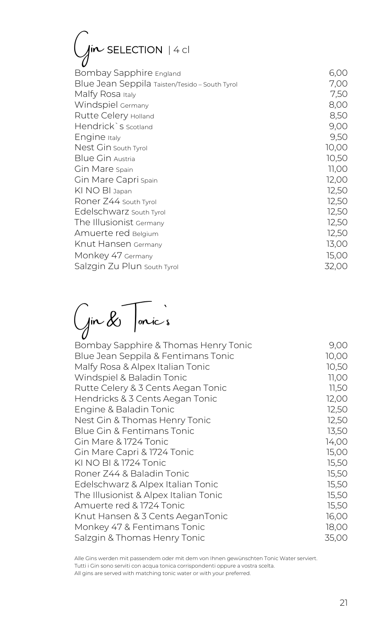# $G$ in SELECTION | 4 cl

| Bombay Sapphire England                        | 6,00  |
|------------------------------------------------|-------|
| Blue Jean Seppila Taisten/Tesido - South Tyrol | 7,00  |
| Malfy Rosa Italy                               | 7,50  |
| Windspiel Germany                              | 8,00  |
| Rutte Celery Holland                           | 8,50  |
| Hendrick`s scotland                            | 9,00  |
| Engine Italy                                   | 9,50  |
| Nest Gin south Tyrol                           | 10,00 |
| Blue Gin Austria                               | 10,50 |
| Gin Mare Spain                                 | 11,00 |
| Gin Mare Capri spain                           | 12,00 |
| KI NO BI Japan                                 | 12,50 |
| Roner Z44 South Tyrol                          | 12,50 |
| Edelschwarz south Tyrol                        | 12,50 |
| The Illusionist Germany                        | 12,50 |
| Amuerte red Belgium                            | 12,50 |
| Knut Hansen Germany                            | 13,00 |
| Monkey 47 Germany                              | 15,00 |
| Salzgin Zu Plun South Tyrol                    | 32,00 |
|                                                |       |

Gin & Tonic`s

| Bombay Sapphire & Thomas Henry Tonic  | 9,00  |
|---------------------------------------|-------|
| Blue Jean Seppila & Fentimans Tonic   | 10,00 |
| Malfy Rosa & Alpex Italian Tonic      | 10,50 |
| Windspiel & Baladin Tonic             | 11,00 |
| Rutte Celery & 3 Cents Aegan Tonic    | 11,50 |
| Hendricks & 3 Cents Aegan Tonic       | 12,00 |
| Engine & Baladin Tonic                | 12,50 |
| Nest Gin & Thomas Henry Tonic         | 12,50 |
| Blue Gin & Fentimans Tonic            | 13,50 |
| Gin Mare & 1724 Tonic                 | 14,00 |
| Gin Mare Capri & 1724 Tonic           | 15,00 |
| KI NO BI & 1724 Tonic                 | 15,50 |
| Roner Z44 & Baladin Tonic             | 15,50 |
| Edelschwarz & Alpex Italian Tonic     | 15,50 |
| The Illusionist & Alpex Italian Tonic | 15,50 |
| Amuerte red & 1724 Tonic              | 15,50 |
| Knut Hansen & 3 Cents AeganTonic      | 16,00 |
| Monkey 47 & Fentimans Tonic           | 18,00 |
| Salzgin & Thomas Henry Tonic          | 35,00 |
|                                       |       |

Alle Gins werden mit passendem oder mit dem von Ihnen gewünschten Tonic Water serviert. Tutti i Gin sono serviti con acqua tonica corrispondenti oppure a vostra scelta. All gins are served with matching tonic water or with your preferred.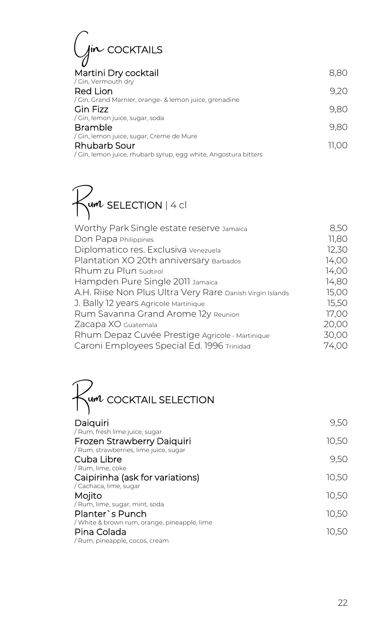| IIN COCKTAILS                                                    |       |
|------------------------------------------------------------------|-------|
| Martini Dry cocktail                                             | 8.8C  |
| / Gin, Vermouth dry                                              |       |
| Red Lion<br>Gin, Grand Marnier, orange- & lemon juice, grenadine | 9.20  |
| Gin Fizz<br>/ Gin, lemon juice, sugar, soda                      | 9,80  |
| <b>Bramble</b>                                                   | 9.80  |
| / Gin, lemon juice, sugar, Creme de Mure                         |       |
| Rhubarb Sour                                                     | 11.OC |
| Gin, lemon juice, rhubarb syrup, egg white, Angostura bitters    |       |

 $\n *Run* SELECTION | 4 cl\n$ 

| Worthy Park Single estate reserve Jamaica                 | 8,50  |
|-----------------------------------------------------------|-------|
| Don Papa Philippines                                      | 11,80 |
| Diplomatico res. Exclusiva venezuela                      | 12,30 |
| Plantation XO 20th anniversary Barbados                   | 14,00 |
| Rhum zu Plun südtirol                                     | 14,00 |
| Hampden Pure Single 2011 Jamaica                          | 14,80 |
| A.H. Riise Non Plus Ultra Very Rare Danish Virgin Islands | 15,00 |
| J. Bally 12 years Agricole Martinique                     | 15,50 |
| Rum Savanna Grand Arome 12y Reunion                       | 17,00 |
| Zacapa XO Guatemala                                       | 20,00 |
| Rhum Depaz Cuvée Prestige Agricole - Martinique           | 30,00 |
| Caroni Employees Special Ed. 1996 Trinidad                | 74,00 |
|                                                           |       |



| Daiquiri<br>/ Rum, fresh lime juice, sugar           | 9,50  |
|------------------------------------------------------|-------|
| Frozen Strawberry Daiquiri                           | 10,50 |
| / Rum, strawberries, lime juice, sugar<br>Cuba Libre | 9,50  |
| / Rum, lime, coke                                    |       |
| Caipirinha (ask for variations)                      | 10,50 |
| / Cachaca, lime, sugar                               |       |
| Mojito<br>/ Rum, lime, sugar, mint, soda             | 10,50 |
| Planter's Punch                                      | 10,50 |
| / White & brown rum, orange, pineapple, lime         |       |
| Pina Colada<br>/ Rum, pineapple, cocos, cream        | 10,50 |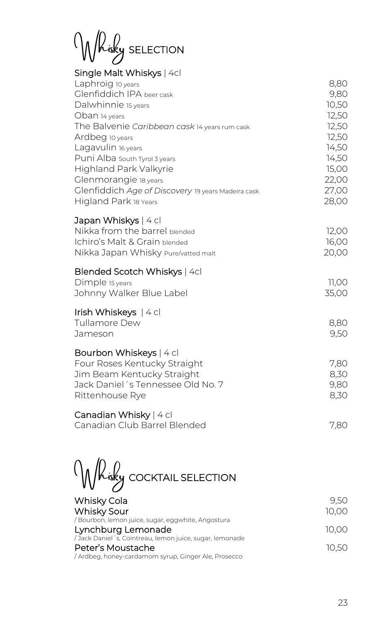Whisky SELECTION

| Single Malt Whiskys   4cl |  |  |  |  |
|---------------------------|--|--|--|--|
|---------------------------|--|--|--|--|

| Laphroig 10 years<br>Glenfiddich IPA beer cask     | 8,80<br>9,80 |
|----------------------------------------------------|--------------|
| Dalwhinnie 15 years                                | 10,50        |
| Oban 14 years                                      | 12,50        |
| The Balvenie Caribbean cask 14 years rum cask      | 12,50        |
| Ardbeg 10 years                                    | 12,50        |
| Lagavulin 16 years                                 | 14,50        |
| Puni Alba South Tyrol 3 years                      | 14,50        |
| <b>Highland Park Valkyrie</b>                      | 15,00        |
| Glenmorangie 18 years                              | 22,00        |
| Glenfiddich Age of Discovery 19 years Madeira cask | 27,00        |
| Higland Park 18 Years                              | 28,00        |
| Japan Whiskys   4 cl                               |              |
| Nikka from the barrel blended                      | 12,00        |
| Ichiro's Malt & Grain blended                      | 16,00        |
| Nikka Japan Whisky Pure/vatted malt                | 20,00        |
| Blended Scotch Whiskys   4cl                       |              |
| Dimple 15 years                                    | 11,00        |
| Johnny Walker Blue Label                           | 35,00        |
| Irish Whiskeys $ 4$ cl                             |              |
| Tullamore Dew                                      | 8,80         |
| Jameson                                            | 9,50         |
| Bourbon Whiskeys   4 cl                            |              |
| Four Roses Kentucky Straight                       | 7,80         |
| Jim Beam Kentucky Straight                         | 8,30         |
| Jack Daniel 's Tennessee Old No. 7                 | 9,80         |
| Rittenhouse Rye                                    | 8,30         |
| Canadian Whisky   4 cl                             |              |
| Canadian Club Barrel Blended                       | 7,80         |

Whisky COCKTAIL SELECTION

| Whisky Cola                                              | 9.50  |
|----------------------------------------------------------|-------|
| Whisky Sour                                              | 10.00 |
| / Bourbon, lemon juice, sugar, eggwhite, Angostura       |       |
| Lynchburg Lemonade                                       | 10.00 |
| /Jack Daniel 's, Cointreau, lemon juice, sugar, lemonade |       |
| Peter's Moustache                                        | 10.50 |
| Ardbeg, honey-cardamom syrup, Ginger Ale, Prosecco       |       |
|                                                          |       |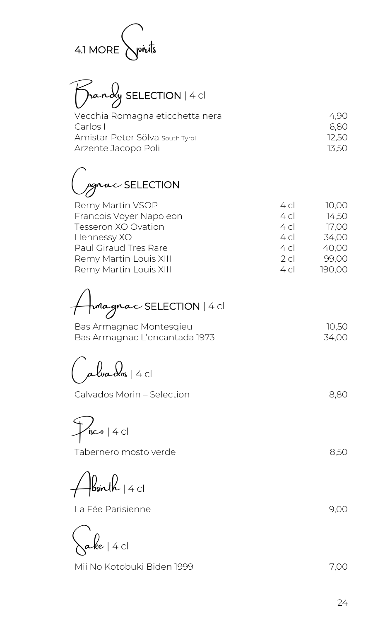

Brandy SELECTION | 4 cl

| Vecchia Romagna eticchetta nera | 4.90  |
|---------------------------------|-------|
| Carlos L                        | 6.80  |
| Amistar Peter Sölva south Tyrol | 12.50 |
| Arzente Jacopo Poli             | 13.50 |
|                                 |       |

*pgnac* SELECTION

| Remy Martin VSOP        | 4 <sub>c</sub> | 10.00  |
|-------------------------|----------------|--------|
| Francois Voyer Napoleon | 4c             | 14,50  |
| Tesseron XO Ovation     | 4c             | 17,00  |
| Hennessy XO             | 4c             | 34,00  |
| Paul Giraud Tres Rare   | 4c             | 40,00  |
| Remy Martin Louis XIII  | 2c             | 99,00  |
| Remy Martin Louis XIII  | 4c             | 190,00 |
|                         |                |        |

Armagnac SELECTION | 4 cl

Bas Armagnac Montesqieu 10,50 Bas Armagnac L'encantada 1973 34,00

 $\overline{\mathcal{A}}$ lva $\overline{\mathcal{A}}$ os | 4 cl

Calvados Morin – Selection 8,80

 $\frac{1}{\sqrt{2}}$ isco | 4 cl

Tabernero mosto verde 8,50

 $\parallel$ bsinth  $\parallel$  4 cl

La Fée Parisienne 1990 (1990) 1990 (1990) 1990 (1991) 1990 (1991) 1990 (1991) 1990 (1991) 1990 (1991) 1990 (19

 $\alpha$ ke | 4 cl

Mii No Kotobuki Biden 1999 7,00